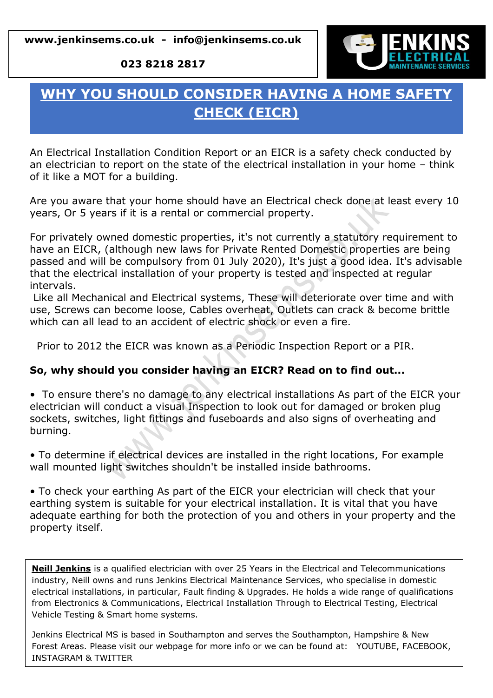**www.jenkinsems.co.uk - info@jenkinsems.co.uk** 

**023 8218 2817**



## **WHY YOU SHOULD CONSIDER HAVING A HOME SAFETY CHECK (EICR)**

An Electrical Installation Condition Report or an EICR is a safety check conducted by an electrician to report on the state of the electrical installation in your home – think of it like a MOT for a building.

Are you aware that your home should have an Electrical check done at least every 10 years, Or 5 years if it is a rental or commercial property.

For privately owned domestic properties, it's not currently a statutory requirement to have an EICR, (although new laws for Private Rented Domestic properties are being passed and will be compulsory from 01 July 2020), It's just a good idea. It's advisable that the electrical installation of your property is tested and inspected at regular intervals.

Like all Mechanical and Electrical systems, These will deteriorate over time and with use, Screws can become loose, Cables overheat, Outlets can crack & become brittle which can all lead to an accident of electric shock or even a fire.

Prior to 2012 the EICR was known as a Periodic Inspection Report or a PIR.

## **So, why should you consider having an EICR? Read on to find out...**

• To ensure there's no damage to any electrical installations As part of the EICR your electrician will conduct a visual Inspection to look out for damaged or broken plug sockets, switches, light fittings and fuseboards and also signs of overheating and burning.

• To determine if electrical devices are installed in the right locations, For example wall mounted light switches shouldn't be installed inside bathrooms.

• To check your earthing As part of the EICR your electrician will check that your earthing system is suitable for your electrical installation. It is vital that you have adequate earthing for both the protection of you and others in your property and the property itself.

**Neill Jenkins** is a qualified electrician with over 25 Years in the Electrical and Telecommunications industry, Neill owns and runs Jenkins Electrical Maintenance Services, who specialise in domestic electrical installations, in particular, Fault finding & Upgrades. He holds a wide range of qualifications from Electronics & Communications, Electrical Installation Through to Electrical Testing, Electrical Vehicle Testing & Smart home systems.

Jenkins Electrical MS is based in Southampton and serves the Southampton, Hampshire & New Forest Areas. Please visit our webpage for more info or we can be found at: YOUTUBE, FACEBOOK, INSTAGRAM & TWITTER